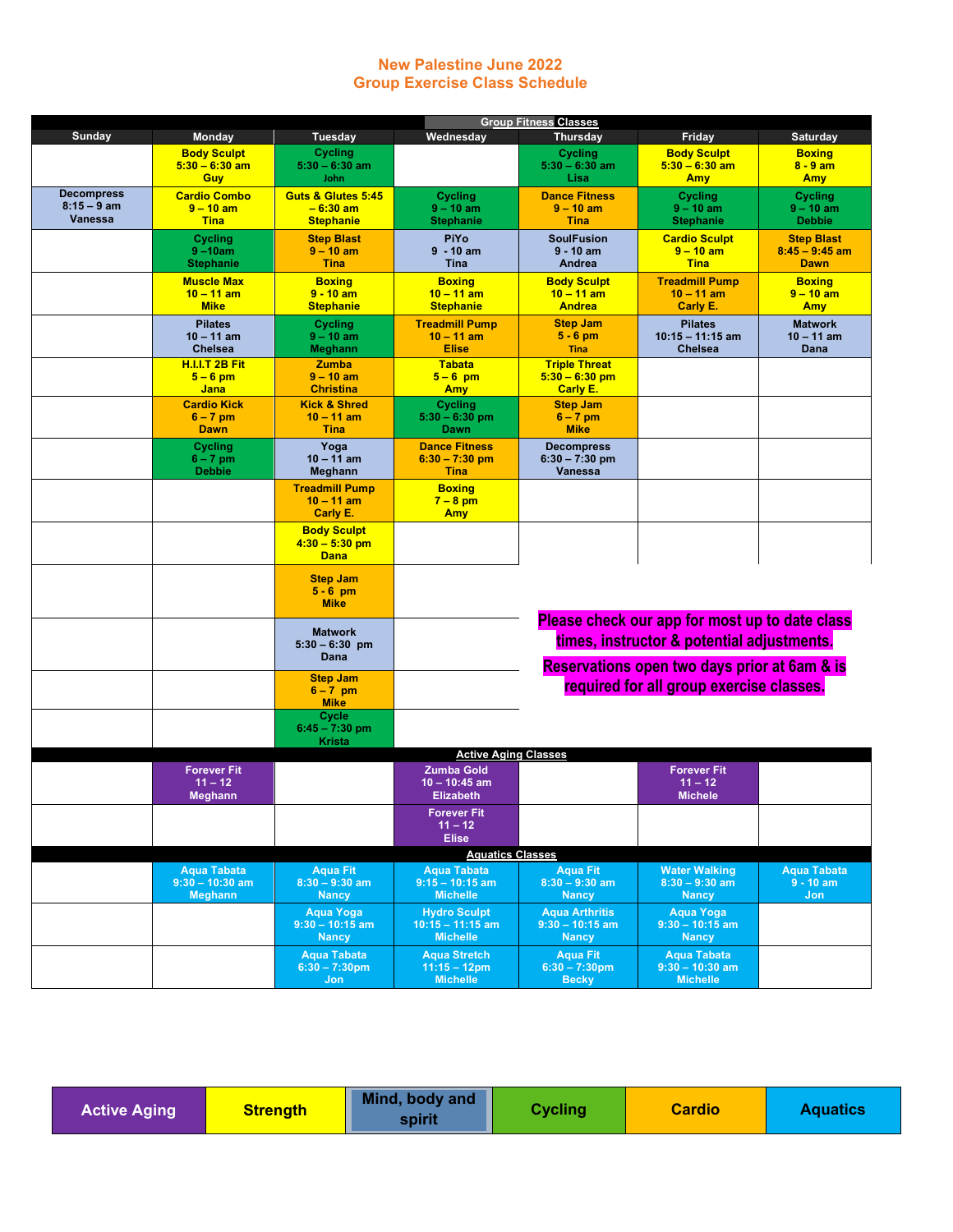## **New Palestine June 2022 Group Exercise Class Schedule**

|                   | <b>Group Fitness Classes</b>            |                                             |                                              |                                     |                                                |                                       |  |  |  |
|-------------------|-----------------------------------------|---------------------------------------------|----------------------------------------------|-------------------------------------|------------------------------------------------|---------------------------------------|--|--|--|
| Sunday            | Monday                                  | <b>Tuesday</b>                              | Wednesday                                    | <b>Thursday</b>                     | Friday                                         | Saturday                              |  |  |  |
|                   | <b>Body Sculpt</b>                      | Cycling<br>$5:30 - 6:30$ am                 |                                              | Cycling                             | <b>Body Sculpt</b><br>$5:30 - 6:30$ am         | <b>Boxing</b>                         |  |  |  |
|                   | $5:30 - 6:30$ am<br><b>Guy</b>          | <b>John</b>                                 |                                              | $5:30 - 6:30$ am<br>Lisa            | <b>Amy</b>                                     | $8 - 9$ am<br>Amy                     |  |  |  |
| <b>Decompress</b> | <b>Cardio Combo</b>                     | Guts & Glutes 5:45                          | <b>Cycling</b>                               | <b>Dance Fitness</b>                | <b>Cycling</b>                                 | Cycling                               |  |  |  |
| $8:15 - 9$ am     | $9 - 10$ am                             | $-6:30$ am                                  | $9 - 10$ am                                  | $9 - 10$ am                         | $9 - 10$ am                                    | $9 - 10$ am                           |  |  |  |
| <b>Vanessa</b>    | <b>Tina</b>                             | <b>Stephanie</b>                            | <b>Stephanie</b>                             | <b>Tina</b>                         | <b>Stephanie</b>                               | <b>Debbie</b>                         |  |  |  |
|                   | Cycling<br>$9 - 10am$                   | <b>Step Blast</b><br>$9 - 10$ am            | <b>PiYo</b><br>$9 - 10$ am                   | <b>SoulFusion</b><br>$9 - 10$ am    | <b>Cardio Sculpt</b><br>$9 - 10$ am            | <b>Step Blast</b><br>$8:45 - 9:45$ am |  |  |  |
|                   | <b>Stephanie</b>                        | <b>Tina</b>                                 | <b>Tina</b>                                  | Andrea                              | <b>Tina</b>                                    | <b>Dawn</b>                           |  |  |  |
|                   | <b>Muscle Max</b>                       | <b>Boxing</b>                               | <b>Boxing</b>                                | <b>Body Sculpt</b>                  | <b>Treadmill Pump</b>                          | <b>Boxing</b>                         |  |  |  |
|                   | $10 - 11$ am                            | $9 - 10$ am                                 | $10 - 11$ am                                 | $10 - 11$ am                        | $10 - 11$ am                                   | $9 - 10$ am                           |  |  |  |
|                   | <b>Mike</b>                             | <b>Stephanie</b>                            | <b>Stephanie</b>                             | <b>Andrea</b>                       | Carly E.                                       | Amy                                   |  |  |  |
|                   | <b>Pilates</b><br>$10 - 11$ am          | Cycling<br>$9 - 10$ am                      | <b>Treadmill Pump</b><br>$10 - 11$ am        | <b>Step Jam</b><br>$5 - 6$ pm       | <b>Pilates</b><br>$10:15 - 11:15$ am           | <b>Matwork</b><br>$10 - 11$ am        |  |  |  |
|                   | <b>Chelsea</b>                          | Meghann                                     | <b>Elise</b>                                 | <b>Tina</b>                         | <b>Chelsea</b>                                 | Dana                                  |  |  |  |
|                   | <b>H.I.I.T 2B Fit</b>                   | <b>Zumba</b>                                | <b>Tabata</b>                                | <b>Triple Threat</b>                |                                                |                                       |  |  |  |
|                   | $5 - 6$ pm                              | $9 - 10$ am                                 | $5 - 6$ pm                                   | $5:30 - 6:30$ pm                    |                                                |                                       |  |  |  |
|                   | Jana<br><b>Cardio Kick</b>              | <b>Christina</b><br><b>Kick &amp; Shred</b> | <b>Amy</b>                                   | Carly E.<br><b>Step Jam</b>         |                                                |                                       |  |  |  |
|                   | $6 - 7$ pm                              | $10 - 11$ am                                | Cycling<br>$5:30 - 6:30$ pm                  | $6 - 7$ pm                          |                                                |                                       |  |  |  |
|                   | <b>Dawn</b>                             | <b>Tina</b>                                 | Dawn                                         | <b>Mike</b>                         |                                                |                                       |  |  |  |
|                   | Cycling                                 | Yoga                                        | <b>Dance Fitness</b>                         | <b>Decompress</b>                   |                                                |                                       |  |  |  |
|                   | $6 - 7$ pm<br><b>Debbie</b>             | $10 - 11$ am<br>Meghann                     | $6:30 - 7:30$ pm<br><b>Tina</b>              | $6:30 - 7:30$ pm<br>Vanessa         |                                                |                                       |  |  |  |
|                   |                                         | <b>Treadmill Pump</b>                       | <b>Boxing</b>                                |                                     |                                                |                                       |  |  |  |
|                   |                                         | $10 - 11$ am                                | $7 - 8$ pm                                   |                                     |                                                |                                       |  |  |  |
|                   |                                         | Carly E.                                    | <b>Amy</b>                                   |                                     |                                                |                                       |  |  |  |
|                   |                                         | <b>Body Sculpt</b>                          |                                              |                                     |                                                |                                       |  |  |  |
|                   |                                         | $4:30 - 5:30$ pm<br><b>Dana</b>             |                                              |                                     |                                                |                                       |  |  |  |
|                   |                                         |                                             |                                              |                                     |                                                |                                       |  |  |  |
|                   |                                         | <b>Step Jam</b><br>$5 - 6$ pm               |                                              |                                     |                                                |                                       |  |  |  |
|                   |                                         | <b>Mike</b>                                 |                                              |                                     |                                                |                                       |  |  |  |
|                   |                                         |                                             |                                              |                                     | Please check our app for most up to date class |                                       |  |  |  |
|                   |                                         | <b>Matwork</b><br>$5:30 - 6:30$ pm          | times, instructor & potential adjustments.   |                                     |                                                |                                       |  |  |  |
|                   |                                         | Dana                                        |                                              |                                     |                                                |                                       |  |  |  |
|                   |                                         | <b>Step Jam</b>                             | Reservations open two days prior at 6am & is |                                     |                                                |                                       |  |  |  |
|                   |                                         | $6 - 7$ pm                                  | required for all group exercise classes.     |                                     |                                                |                                       |  |  |  |
|                   |                                         | <b>Mike</b>                                 |                                              |                                     |                                                |                                       |  |  |  |
|                   |                                         | Cycle<br>$6:45 - 7:30$ pm                   |                                              |                                     |                                                |                                       |  |  |  |
|                   |                                         | Krista                                      |                                              |                                     |                                                |                                       |  |  |  |
|                   |                                         |                                             | <b>Active Aging Classes</b>                  |                                     |                                                |                                       |  |  |  |
|                   | <b>Forever Fit</b><br>$11 - 12$         |                                             | <b>Zumba Gold</b><br>$10 - 10:45$ am         |                                     | <b>Forever Fit</b><br>$11 - 12$                |                                       |  |  |  |
|                   | <b>Meghann</b>                          |                                             | <b>Elizabeth</b>                             |                                     | <b>Michele</b>                                 |                                       |  |  |  |
|                   |                                         |                                             | Forever Fit                                  |                                     |                                                |                                       |  |  |  |
|                   |                                         |                                             | $11 - 12$                                    |                                     |                                                |                                       |  |  |  |
|                   |                                         |                                             | <b>Elise</b>                                 |                                     |                                                |                                       |  |  |  |
|                   |                                         |                                             | <b>Aquatics Classes</b>                      |                                     | <b>Water Walking</b>                           | <b>Aqua Tabata</b>                    |  |  |  |
|                   | <b>Aqua Tabata</b><br>$9:30 - 10:30$ am | <b>Aqua Fit</b><br>$8:30 - 9:30$ am         | <b>Aqua Tabata</b><br>$9:15 - 10:15$ am      | <b>Aqua Fit</b><br>$8:30 - 9:30$ am | $8:30 - 9:30$ am                               | $9 - 10$ am                           |  |  |  |
|                   | <b>Meghann</b>                          | <b>Nancy</b>                                | <b>Michelle</b>                              | <b>Nancy</b>                        | <b>Nancy</b>                                   | Jon.                                  |  |  |  |
|                   |                                         | Aqua Yoga                                   | <b>Hydro Sculpt</b>                          | <b>Aqua Arthritis</b>               | <b>Aqua Yoga</b>                               |                                       |  |  |  |
|                   |                                         | $9:30 - 10:15$ am<br><b>Nancy</b>           | $10:15 - 11:15$ am<br><b>Michelle</b>        | $9:30 - 10:15$ am<br><b>Nancy</b>   | $9:30 - 10:15$ am<br><b>Nancy</b>              |                                       |  |  |  |
|                   |                                         | <b>Aqua Tabata</b>                          | <b>Agua Stretch</b>                          | <b>Aqua Fit</b>                     | <b>Aqua Tabata</b>                             |                                       |  |  |  |
|                   |                                         | $6:30 - 7:30$ pm                            | $11:15 - 12$ pm                              | $6:30 - 7:30$ pm                    | $9:30 - 10:30$ am                              |                                       |  |  |  |
|                   |                                         | Jon                                         | <b>Michelle</b>                              | <b>Becky</b>                        | <b>Michelle</b>                                |                                       |  |  |  |

| <b>Active Aging</b> | <b>Strength</b> | Mind, body and<br>spirit | <b>Cycling</b> | <b>Cardio</b> | <b>Aquatics</b> |
|---------------------|-----------------|--------------------------|----------------|---------------|-----------------|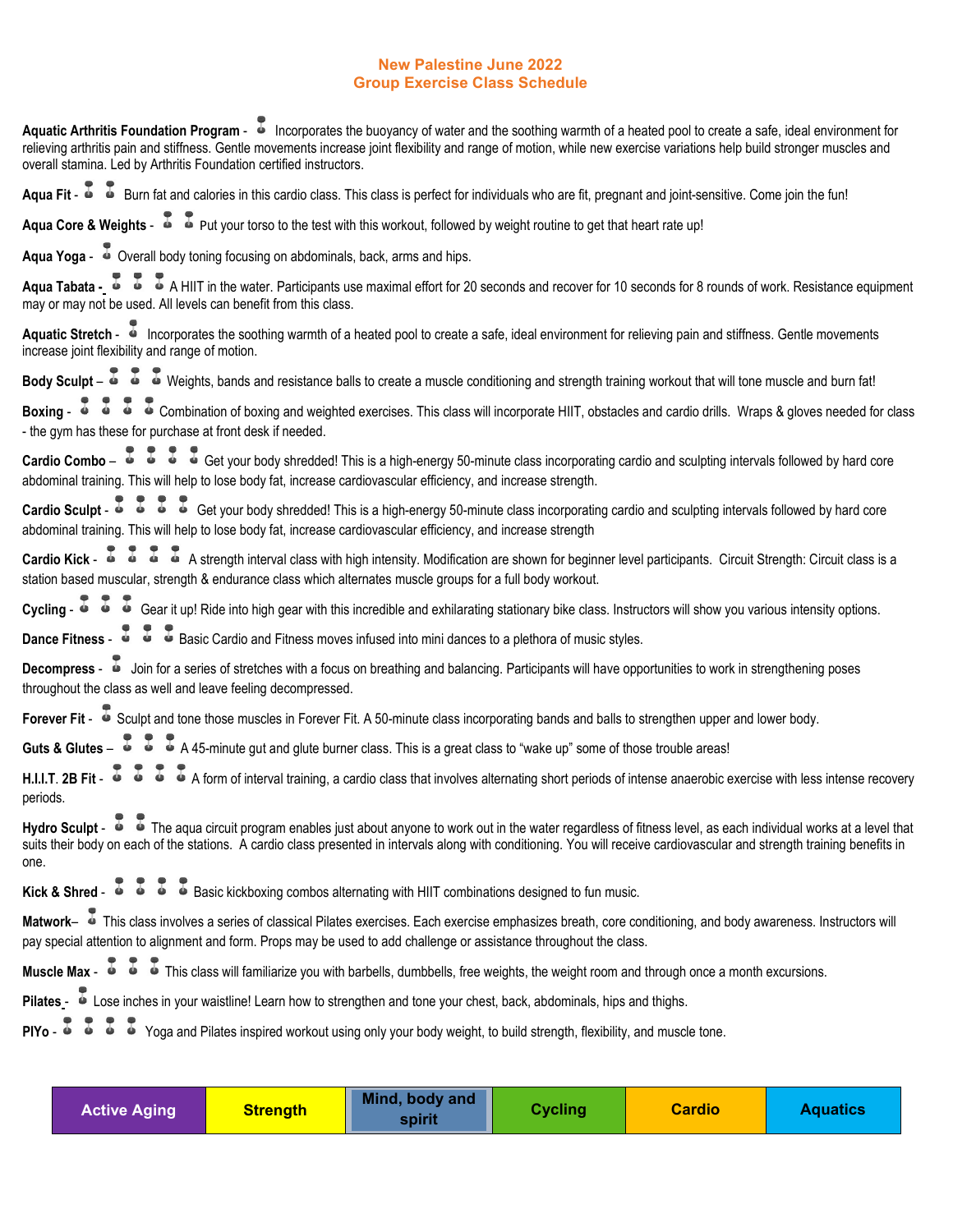## **New Palestine June 2022 Group Exercise Class Schedule**

| Aquatic Arthritis Foundation Program - incorporates the buoyancy of water and the soothing warmth of a heated pool to create a safe, ideal environment for<br>relieving arthritis pain and stiffness. Gentle movements increase joint flexibility and range of motion, while new exercise variations help build stronger muscles and<br>overall stamina. Led by Arthritis Foundation certified instructors. |
|-------------------------------------------------------------------------------------------------------------------------------------------------------------------------------------------------------------------------------------------------------------------------------------------------------------------------------------------------------------------------------------------------------------|
| Aqua Fit - <sup>3</sup> Burn fat and calories in this cardio class. This class is perfect for individuals who are fit, pregnant and joint-sensitive. Come join the fun!                                                                                                                                                                                                                                     |
| Aqua Core & Weights - $\overline{\bullet}$ $\overline{\bullet}$ Put your torso to the test with this workout, followed by weight routine to get that heart rate up!                                                                                                                                                                                                                                         |
| Aqua Yoga - $\overline{\bullet}$ Overall body toning focusing on abdominals, back, arms and hips.                                                                                                                                                                                                                                                                                                           |
| Aqua Tabata - $\overline{\bullet}$ $\overline{\bullet}$ A HIIT in the water. Participants use maximal effort for 20 seconds and recover for 10 seconds for 8 rounds of work. Resistance equipment<br>may or may not be used. All levels can benefit from this class.                                                                                                                                        |
| Aquatic Stretch - Incorporates the soothing warmth of a heated pool to create a safe, ideal environment for relieving pain and stiffness. Gentle movements<br>increase joint flexibility and range of motion.                                                                                                                                                                                               |
| Body Sculpt – $\overline{\bullet}$ $\overline{\bullet}$ $\overline{\bullet}$ Weights, bands and resistance balls to create a muscle conditioning and strength training workout that will tone muscle and burn fat!                                                                                                                                                                                          |
| Boxing - $\overline{\phantom{a}}$ $\overline{\phantom{a}}$ $\overline{\phantom{a}}$ $\overline{\phantom{a}}$ Combination of boxing and weighted exercises. This class will incorporate HIIT, obstacles and cardio drills. Wraps & gloves needed for class<br>- the gym has these for purchase at front desk if needed.                                                                                      |
| Cardio Combo - $\overline{a}$ $\overline{a}$ $\overline{a}$ $\overline{a}$ Get your body shredded! This is a high-energy 50-minute class incorporating cardio and sculpting intervals followed by hard core<br>abdominal training. This will help to lose body fat, increase cardiovascular efficiency, and increase strength.                                                                              |
| Cardio Sculpt - $\overline{\bullet}$ $\overline{\bullet}$ $\overline{\bullet}$ $\overline{\bullet}$ Get your body shredded! This is a high-energy 50-minute class incorporating cardio and sculpting intervals followed by hard core<br>abdominal training. This will help to lose body fat, increase cardiovascular efficiency, and increase strength                                                      |
| Cardio Kick - $\overline{\bullet}$ $\overline{\bullet}$ $\overline{\bullet}$ A strength interval class with high intensity. Modification are shown for beginner level participants. Circuit Strength: Circuit class is a<br>station based muscular, strength & endurance class which alternates muscle groups for a full body workout.                                                                      |
| Cycling - $\overline{\bullet}$ $\overline{\bullet}$ $\overline{\bullet}$ Gear it up! Ride into high gear with this incredible and exhilarating stationary bike class. Instructors will show you various intensity options.                                                                                                                                                                                  |
| <b>Dance Fitness - <math>\overline{\bullet}</math></b> $\overline{\bullet}$ <b>B</b> Basic Cardio and Fitness moves infused into mini dances to a plethora of music styles.                                                                                                                                                                                                                                 |
| Decompress - $\bullet$ Join for a series of stretches with a focus on breathing and balancing. Participants will have opportunities to work in strengthening poses<br>throughout the class as well and leave feeling decompressed.                                                                                                                                                                          |
| Forever Fit - <sup>3</sup> Sculpt and tone those muscles in Forever Fit. A 50-minute class incorporating bands and balls to strengthen upper and lower body.                                                                                                                                                                                                                                                |
| Guts & Glutes $-\overline{6}$ $-\overline{6}$ A 45-minute gut and glute burner class. This is a great class to "wake up" some of those trouble areas!                                                                                                                                                                                                                                                       |
| H.I.I.T. 2B Fit - $\overline{\bullet}$ $\overline{\bullet}$ $\overline{\bullet}$ $\overline{\bullet}$ A form of interval training, a cardio class that involves alternating short periods of intense anaerobic exercise with less intense recovery<br>periods.                                                                                                                                              |
| Hydro Sculpt - $\overline{\bullet}$ $\overline{\bullet}$ The aqua circuit program enables just about anyone to work out in the water regardless of fitness level, as each individual works at a level that<br>suits their body on each of the stations. A cardio class presented in intervals along with conditioning. You will receive cardiovascular and strength training benefits in<br>one.            |
| Kick & Shred - $\overline{\bullet}$ $\overline{\bullet}$ $\overline{\bullet}$ Basic kickboxing combos alternating with HIIT combinations designed to fun music.                                                                                                                                                                                                                                             |
| Matwork- This class involves a series of classical Pilates exercises. Each exercise emphasizes breath, core conditioning, and body awareness. Instructors will<br>pay special attention to alignment and form. Props may be used to add challenge or assistance throughout the class.                                                                                                                       |
| Muscle Max - $\overline{\bullet}$ $\overline{\bullet}$ $\overline{\bullet}$ This class will familiarize you with barbells, dumbbells, free weights, the weight room and through once a month excursions.                                                                                                                                                                                                    |
| Pilates - Lose inches in your waistline! Learn how to strengthen and tone your chest, back, abdominals, hips and thighs.                                                                                                                                                                                                                                                                                    |
| PIYo - $\overline{4}$ $\overline{4}$ $\overline{4}$ $\overline{4}$ Yoga and Pilates inspired workout using only your body weight, to build strength, flexibility, and muscle tone.                                                                                                                                                                                                                          |
|                                                                                                                                                                                                                                                                                                                                                                                                             |

| <b>Active Aging</b> | <u>Strength</u> | Mind, body and<br>spirit | Cycling | Cardio | <b>Aquatics</b> |
|---------------------|-----------------|--------------------------|---------|--------|-----------------|
|---------------------|-----------------|--------------------------|---------|--------|-----------------|